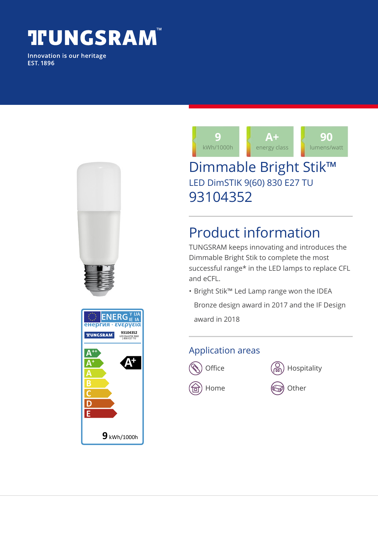# **TUNGSRAM**

Innovation is our heritage **EST. 1896** 





## Dimmable Bright Stik™ LED DimSTIK 9(60) 830 E27 TU 93104352

# Product information

TUNGSRAM keeps innovating and introduces the Dimmable Bright Stik to complete the most successful range\* in the LED lamps to replace CFL and eCFL.

• Bright Stik™ Led Lamp range won the IDEA Bronze design award in 2017 and the IF Design

award in 2018

#### Application areas





 $\textcircled{\tiny{\textsf{m}}}$  Home  $\textcircled{\tiny{\textsf{m}}}$  Other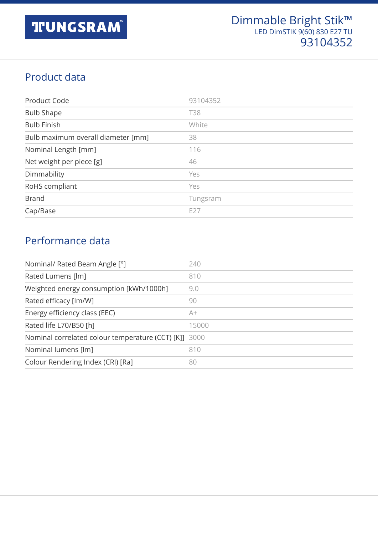### Product data

| Product Code                       | 93104352   |
|------------------------------------|------------|
| <b>Bulb Shape</b>                  | <b>T38</b> |
| <b>Bulb Finish</b>                 | White      |
| Bulb maximum overall diameter [mm] | 38         |
| Nominal Length [mm]                | 116        |
| Net weight per piece [g]           | 46         |
| Dimmability                        | Yes        |
| RoHS compliant                     | Yes        |
| <b>Brand</b>                       | Tungsram   |
| Cap/Base                           | E27        |

#### Performance data

| Nominal/ Rated Beam Angle [°]                         | 240   |
|-------------------------------------------------------|-------|
| Rated Lumens [lm]                                     | 810   |
| Weighted energy consumption [kWh/1000h]               | 9.0   |
| Rated efficacy [lm/W]                                 | 90    |
| Energy efficiency class (EEC)                         | A+    |
| Rated life L70/B50 [h]                                | 15000 |
| Nominal correlated colour temperature (CCT) [K]] 3000 |       |
| Nominal lumens [lm]                                   | 810   |
| Colour Rendering Index (CRI) [Ra]                     | 80    |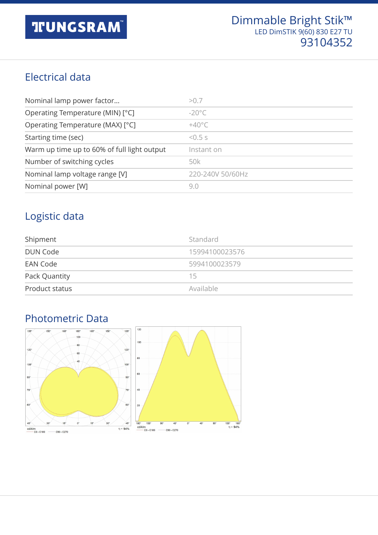#### Electrical data

| Nominal lamp power factor                   | > 0.7                 |
|---------------------------------------------|-----------------------|
| Operating Temperature (MIN) [°C]            | $-20^{\circ}$ C       |
| Operating Temperature (MAX) [°C]            | $+40^{\circ}$ C       |
| Starting time (sec)                         | $5.5 \times 10^{-15}$ |
| Warm up time up to 60% of full light output | Instant on            |
| Number of switching cycles                  | 50k                   |
| Nominal lamp voltage range [V]              | 220-240V 50/60Hz      |
| Nominal power [W]                           | 9.0                   |

#### Logistic data

| Shipment        | Standard       |
|-----------------|----------------|
| <b>DUN Code</b> | 15994100023576 |
| EAN Code        | 5994100023579  |
| Pack Quantity   | 15             |
| Product status  | Available      |

### Photometric Data